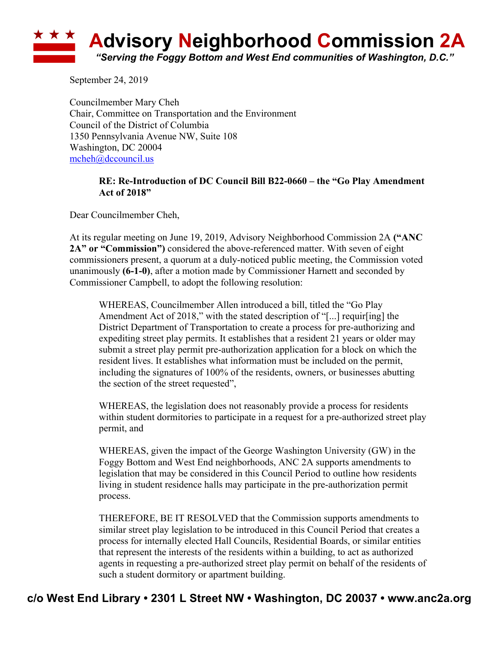## \* \* \* **Advisory Neighborhood Commission 2A** *"Serving the Foggy Bottom and West End communities of Washington, D.C."*

September 24, 2019

Councilmember Mary Cheh Chair, Committee on Transportation and the Environment Council of the District of Columbia 1350 Pennsylvania Avenue NW, Suite 108 Washington, DC 20004 mcheh@dccouncil.us

## **RE: Re-Introduction of DC Council Bill B22-0660 – the "Go Play Amendment Act of 2018"**

Dear Councilmember Cheh,

At its regular meeting on June 19, 2019, Advisory Neighborhood Commission 2A **("ANC 2A" or "Commission")** considered the above-referenced matter. With seven of eight commissioners present, a quorum at a duly-noticed public meeting, the Commission voted unanimously **(6-1-0)**, after a motion made by Commissioner Harnett and seconded by Commissioner Campbell, to adopt the following resolution:

WHEREAS, Councilmember Allen introduced a bill, titled the "Go Play Amendment Act of 2018," with the stated description of "[...] requir[ing] the District Department of Transportation to create a process for pre-authorizing and expediting street play permits. It establishes that a resident 21 years or older may submit a street play permit pre-authorization application for a block on which the resident lives. It establishes what information must be included on the permit, including the signatures of 100% of the residents, owners, or businesses abutting the section of the street requested",

WHEREAS, the legislation does not reasonably provide a process for residents within student dormitories to participate in a request for a pre-authorized street play permit, and

WHEREAS, given the impact of the George Washington University (GW) in the Foggy Bottom and West End neighborhoods, ANC 2A supports amendments to legislation that may be considered in this Council Period to outline how residents living in student residence halls may participate in the pre-authorization permit process.

THEREFORE, BE IT RESOLVED that the Commission supports amendments to similar street play legislation to be introduced in this Council Period that creates a process for internally elected Hall Councils, Residential Boards, or similar entities that represent the interests of the residents within a building, to act as authorized agents in requesting a pre-authorized street play permit on behalf of the residents of such a student dormitory or apartment building.